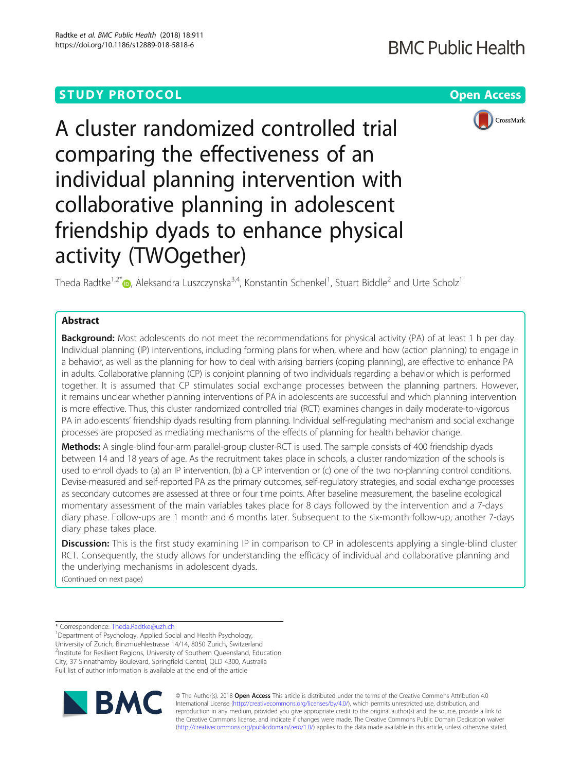# **STUDY PROTOCOL CONSUMING THE RESERVE ACCESS**



A cluster randomized controlled trial comparing the effectiveness of an individual planning intervention with collaborative planning in adolescent friendship dyads to enhance physical activity (TWOgether)

Theda Radtke<sup>1,2[\\*](http://orcid.org/0000-0003-1228-1834)</sup> $\bm{\odot}$ , Aleksandra Luszczynska<sup>3,4</sup>, Konstantin Schenkel<sup>1</sup>, Stuart Biddle<sup>2</sup> and Urte Scholz<sup>1</sup>

## Abstract

**Background:** Most adolescents do not meet the recommendations for physical activity (PA) of at least 1 h per day. Individual planning (IP) interventions, including forming plans for when, where and how (action planning) to engage in a behavior, as well as the planning for how to deal with arising barriers (coping planning), are effective to enhance PA in adults. Collaborative planning (CP) is conjoint planning of two individuals regarding a behavior which is performed together. It is assumed that CP stimulates social exchange processes between the planning partners. However, it remains unclear whether planning interventions of PA in adolescents are successful and which planning intervention is more effective. Thus, this cluster randomized controlled trial (RCT) examines changes in daily moderate-to-vigorous PA in adolescents' friendship dyads resulting from planning. Individual self-regulating mechanism and social exchange processes are proposed as mediating mechanisms of the effects of planning for health behavior change.

Methods: A single-blind four-arm parallel-group cluster-RCT is used. The sample consists of 400 friendship dyads between 14 and 18 years of age. As the recruitment takes place in schools, a cluster randomization of the schools is used to enroll dyads to (a) an IP intervention, (b) a CP intervention or (c) one of the two no-planning control conditions. Devise-measured and self-reported PA as the primary outcomes, self-regulatory strategies, and social exchange processes as secondary outcomes are assessed at three or four time points. After baseline measurement, the baseline ecological momentary assessment of the main variables takes place for 8 days followed by the intervention and a 7-days diary phase. Follow-ups are 1 month and 6 months later. Subsequent to the six-month follow-up, another 7-days diary phase takes place.

Discussion: This is the first study examining IP in comparison to CP in adolescents applying a single-blind cluster RCT. Consequently, the study allows for understanding the efficacy of individual and collaborative planning and the underlying mechanisms in adolescent dyads.

(Continued on next page)

\* Correspondence: [Theda.Radtke@uzh.ch](mailto:Theda.Radtke@uzh.ch) <sup>1</sup>

<sup>1</sup>Department of Psychology, Applied Social and Health Psychology, University of Zurich, Binzmuehlestrasse 14/14, 8050 Zurich, Switzerland <sup>2</sup>Institute for Resilient Regions, University of Southern Queensland, Education City, 37 Sinnathamby Boulevard, Springfield Central, QLD 4300, Australia Full list of author information is available at the end of the article



© The Author(s). 2018 Open Access This article is distributed under the terms of the Creative Commons Attribution 4.0 International License [\(http://creativecommons.org/licenses/by/4.0/](http://creativecommons.org/licenses/by/4.0/)), which permits unrestricted use, distribution, and reproduction in any medium, provided you give appropriate credit to the original author(s) and the source, provide a link to the Creative Commons license, and indicate if changes were made. The Creative Commons Public Domain Dedication waiver [\(http://creativecommons.org/publicdomain/zero/1.0/](http://creativecommons.org/publicdomain/zero/1.0/)) applies to the data made available in this article, unless otherwise stated.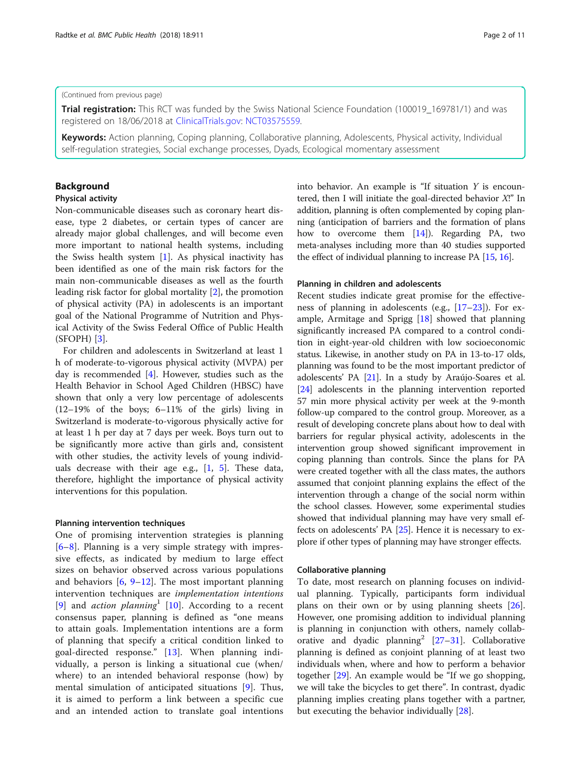#### (Continued from previous page)

Trial registration: This RCT was funded by the Swiss National Science Foundation (100019\_169781/1) and was registered on 18/06/2018 at [ClinicalTrials.gov](http://clinicaltrials.gov): [NCT03575559.](https://clinicaltrials.gov/ct2/show/NCT03575559?cond=twogether&rank=1)

Keywords: Action planning, Coping planning, Collaborative planning, Adolescents, Physical activity, Individual self-regulation strategies, Social exchange processes, Dyads, Ecological momentary assessment

## Background

#### Physical activity

Non-communicable diseases such as coronary heart disease, type 2 diabetes, or certain types of cancer are already major global challenges, and will become even more important to national health systems, including the Swiss health system [[1\]](#page-9-0). As physical inactivity has been identified as one of the main risk factors for the main non-communicable diseases as well as the fourth leading risk factor for global mortality [\[2](#page-9-0)], the promotion of physical activity (PA) in adolescents is an important goal of the National Programme of Nutrition and Physical Activity of the Swiss Federal Office of Public Health (SFOPH) [[3\]](#page-9-0).

For children and adolescents in Switzerland at least 1 h of moderate-to-vigorous physical activity (MVPA) per day is recommended [\[4\]](#page-9-0). However, studies such as the Health Behavior in School Aged Children (HBSC) have shown that only a very low percentage of adolescents (12–19% of the boys; 6–11% of the girls) living in Switzerland is moderate-to-vigorous physically active for at least 1 h per day at 7 days per week. Boys turn out to be significantly more active than girls and, consistent with other studies, the activity levels of young individuals decrease with their age e.g.,  $[1, 5]$  $[1, 5]$  $[1, 5]$  $[1, 5]$ . These data, therefore, highlight the importance of physical activity interventions for this population.

#### Planning intervention techniques

One of promising intervention strategies is planning [[6](#page-9-0)–[8\]](#page-9-0). Planning is a very simple strategy with impressive effects, as indicated by medium to large effect sizes on behavior observed across various populations and behaviors  $[6, 9-12]$  $[6, 9-12]$  $[6, 9-12]$  $[6, 9-12]$  $[6, 9-12]$  $[6, 9-12]$ . The most important planning intervention techniques are implementation intentions [[9\]](#page-9-0) and *action planning*<sup>1</sup> [[10\]](#page-9-0). According to a recent consensus paper, planning is defined as "one means to attain goals. Implementation intentions are a form of planning that specify a critical condition linked to goal-directed response." [[13\]](#page-9-0). When planning individually, a person is linking a situational cue (when/ where) to an intended behavioral response (how) by mental simulation of anticipated situations [[9\]](#page-9-0). Thus, it is aimed to perform a link between a specific cue and an intended action to translate goal intentions into behavior. An example is "If situation  $Y$  is encountered, then I will initiate the goal-directed behavior X!" In addition, planning is often complemented by coping planning (anticipation of barriers and the formation of plans how to overcome them [\[14\]](#page-9-0)). Regarding PA, two meta-analyses including more than 40 studies supported the effect of individual planning to increase PA [[15](#page-9-0), [16\]](#page-9-0).

#### Planning in children and adolescents

Recent studies indicate great promise for the effectiveness of planning in adolescents (e.g., [[17](#page-9-0)–[23\]](#page-9-0)). For example, Armitage and Sprigg [[18](#page-9-0)] showed that planning significantly increased PA compared to a control condition in eight-year-old children with low socioeconomic status. Likewise, in another study on PA in 13-to-17 olds, planning was found to be the most important predictor of adolescents' PA [\[21\]](#page-9-0). In a study by Araújo-Soares et al. [[24](#page-9-0)] adolescents in the planning intervention reported 57 min more physical activity per week at the 9-month follow-up compared to the control group. Moreover, as a result of developing concrete plans about how to deal with barriers for regular physical activity, adolescents in the intervention group showed significant improvement in coping planning than controls. Since the plans for PA were created together with all the class mates, the authors assumed that conjoint planning explains the effect of the intervention through a change of the social norm within the school classes. However, some experimental studies showed that individual planning may have very small effects on adolescents' PA [[25](#page-9-0)]. Hence it is necessary to explore if other types of planning may have stronger effects.

### Collaborative planning

To date, most research on planning focuses on individual planning. Typically, participants form individual plans on their own or by using planning sheets [\[26](#page-9-0)]. However, one promising addition to individual planning is planning in conjunction with others, namely collab-orative and dyadic planning<sup>2</sup> [\[27](#page-9-0)–[31\]](#page-10-0). Collaborative planning is defined as conjoint planning of at least two individuals when, where and how to perform a behavior together [\[29](#page-10-0)]. An example would be "If we go shopping, we will take the bicycles to get there". In contrast, dyadic planning implies creating plans together with a partner, but executing the behavior individually [[28](#page-9-0)].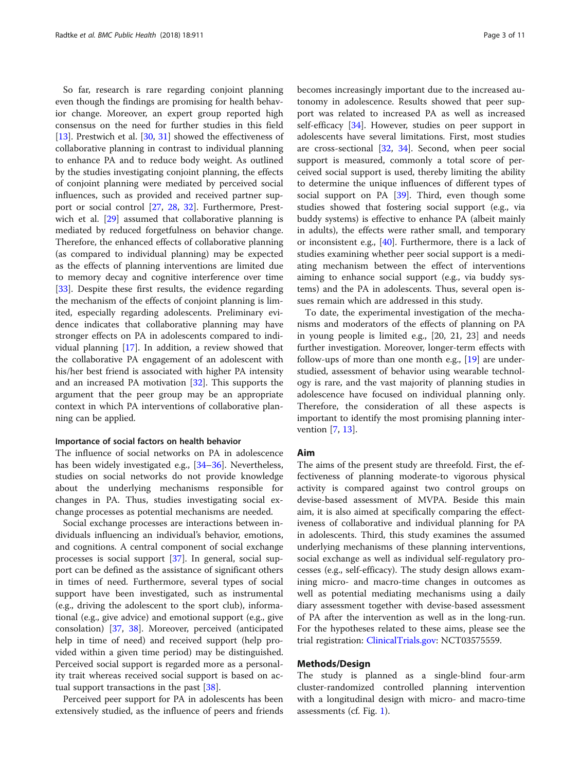So far, research is rare regarding conjoint planning even though the findings are promising for health behavior change. Moreover, an expert group reported high consensus on the need for further studies in this field [[13\]](#page-9-0). Prestwich et al. [\[30,](#page-10-0) [31](#page-10-0)] showed the effectiveness of collaborative planning in contrast to individual planning to enhance PA and to reduce body weight. As outlined by the studies investigating conjoint planning, the effects of conjoint planning were mediated by perceived social influences, such as provided and received partner support or social control [[27,](#page-9-0) [28,](#page-9-0) [32](#page-10-0)]. Furthermore, Prestwich et al. [\[29](#page-10-0)] assumed that collaborative planning is mediated by reduced forgetfulness on behavior change. Therefore, the enhanced effects of collaborative planning (as compared to individual planning) may be expected as the effects of planning interventions are limited due to memory decay and cognitive interference over time [[33\]](#page-10-0). Despite these first results, the evidence regarding the mechanism of the effects of conjoint planning is limited, especially regarding adolescents. Preliminary evidence indicates that collaborative planning may have stronger effects on PA in adolescents compared to individual planning [\[17](#page-9-0)]. In addition, a review showed that the collaborative PA engagement of an adolescent with his/her best friend is associated with higher PA intensity and an increased PA motivation [[32\]](#page-10-0). This supports the argument that the peer group may be an appropriate context in which PA interventions of collaborative planning can be applied.

### Importance of social factors on health behavior

The influence of social networks on PA in adolescence has been widely investigated e.g., [[34](#page-10-0)–[36](#page-10-0)]. Nevertheless, studies on social networks do not provide knowledge about the underlying mechanisms responsible for changes in PA. Thus, studies investigating social exchange processes as potential mechanisms are needed.

Social exchange processes are interactions between individuals influencing an individual's behavior, emotions, and cognitions. A central component of social exchange processes is social support [[37\]](#page-10-0). In general, social support can be defined as the assistance of significant others in times of need. Furthermore, several types of social support have been investigated, such as instrumental (e.g., driving the adolescent to the sport club), informational (e.g., give advice) and emotional support (e.g., give consolation) [\[37,](#page-10-0) [38\]](#page-10-0). Moreover, perceived (anticipated help in time of need) and received support (help provided within a given time period) may be distinguished. Perceived social support is regarded more as a personality trait whereas received social support is based on actual support transactions in the past [\[38](#page-10-0)].

Perceived peer support for PA in adolescents has been extensively studied, as the influence of peers and friends

becomes increasingly important due to the increased autonomy in adolescence. Results showed that peer support was related to increased PA as well as increased self-efficacy [\[34](#page-10-0)]. However, studies on peer support in adolescents have several limitations. First, most studies are cross-sectional  $[32, 34]$  $[32, 34]$  $[32, 34]$  $[32, 34]$ . Second, when peer social support is measured, commonly a total score of perceived social support is used, thereby limiting the ability to determine the unique influences of different types of social support on PA [[39\]](#page-10-0). Third, even though some studies showed that fostering social support (e.g., via buddy systems) is effective to enhance PA (albeit mainly in adults), the effects were rather small, and temporary or inconsistent e.g., [\[40\]](#page-10-0). Furthermore, there is a lack of studies examining whether peer social support is a mediating mechanism between the effect of interventions aiming to enhance social support (e.g., via buddy systems) and the PA in adolescents. Thus, several open issues remain which are addressed in this study.

To date, the experimental investigation of the mechanisms and moderators of the effects of planning on PA in young people is limited e.g., [20, 21, 23] and needs further investigation. Moreover, longer-term effects with follow-ups of more than one month e.g., [\[19\]](#page-9-0) are understudied, assessment of behavior using wearable technology is rare, and the vast majority of planning studies in adolescence have focused on individual planning only. Therefore, the consideration of all these aspects is important to identify the most promising planning intervention [\[7](#page-9-0), [13](#page-9-0)].

#### Aim

The aims of the present study are threefold. First, the effectiveness of planning moderate-to vigorous physical activity is compared against two control groups on devise-based assessment of MVPA. Beside this main aim, it is also aimed at specifically comparing the effectiveness of collaborative and individual planning for PA in adolescents. Third, this study examines the assumed underlying mechanisms of these planning interventions, social exchange as well as individual self-regulatory processes (e.g., self-efficacy). The study design allows examining micro- and macro-time changes in outcomes as well as potential mediating mechanisms using a daily diary assessment together with devise-based assessment of PA after the intervention as well as in the long-run. For the hypotheses related to these aims, please see the trial registration: [ClinicalTrials.gov](http://clinicaltrials.gov): NCT03575559.

## Methods/Design

The study is planned as a single-blind four-arm cluster-randomized controlled planning intervention with a longitudinal design with micro- and macro-time assessments (cf. Fig. [1\)](#page-3-0).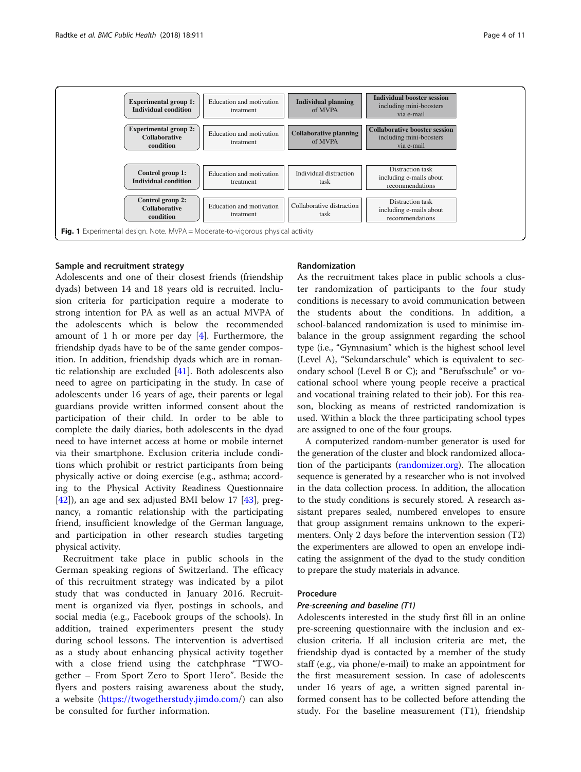<span id="page-3-0"></span>

#### Sample and recruitment strategy

Adolescents and one of their closest friends (friendship dyads) between 14 and 18 years old is recruited. Inclusion criteria for participation require a moderate to strong intention for PA as well as an actual MVPA of the adolescents which is below the recommended amount of 1 h or more per day  $[4]$ . Furthermore, the friendship dyads have to be of the same gender composition. In addition, friendship dyads which are in romantic relationship are excluded [[41\]](#page-10-0). Both adolescents also need to agree on participating in the study. In case of adolescents under 16 years of age, their parents or legal guardians provide written informed consent about the participation of their child. In order to be able to complete the daily diaries, both adolescents in the dyad need to have internet access at home or mobile internet via their smartphone. Exclusion criteria include conditions which prohibit or restrict participants from being physically active or doing exercise (e.g., asthma; according to the Physical Activity Readiness Questionnaire [[42\]](#page-10-0)), an age and sex adjusted BMI below 17 [\[43](#page-10-0)], pregnancy, a romantic relationship with the participating friend, insufficient knowledge of the German language, and participation in other research studies targeting physical activity.

Recruitment take place in public schools in the German speaking regions of Switzerland. The efficacy of this recruitment strategy was indicated by a pilot study that was conducted in January 2016. Recruitment is organized via flyer, postings in schools, and social media (e.g., Facebook groups of the schools). In addition, trained experimenters present the study during school lessons. The intervention is advertised as a study about enhancing physical activity together with a close friend using the catchphrase "TWOgether – From Sport Zero to Sport Hero". Beside the flyers and posters raising awareness about the study, a website ([https://twogetherstudy.jimdo.com/](https://twogetherstudy.jimdo.com)) can also be consulted for further information.

#### Randomization

As the recruitment takes place in public schools a cluster randomization of participants to the four study conditions is necessary to avoid communication between the students about the conditions. In addition, a school-balanced randomization is used to minimise imbalance in the group assignment regarding the school type (i.e., "Gymnasium" which is the highest school level (Level A), "Sekundarschule" which is equivalent to secondary school (Level B or C); and "Berufsschule" or vocational school where young people receive a practical and vocational training related to their job). For this reason, blocking as means of restricted randomization is used. Within a block the three participating school types are assigned to one of the four groups.

A computerized random-number generator is used for the generation of the cluster and block randomized allocation of the participants ([randomizer.org\)](http://randomizer.org). The allocation sequence is generated by a researcher who is not involved in the data collection process. In addition, the allocation to the study conditions is securely stored. A research assistant prepares sealed, numbered envelopes to ensure that group assignment remains unknown to the experimenters. Only 2 days before the intervention session (T2) the experimenters are allowed to open an envelope indicating the assignment of the dyad to the study condition to prepare the study materials in advance.

#### Procedure

## Pre-screening and baseline (T1)

Adolescents interested in the study first fill in an online pre-screening questionnaire with the inclusion and exclusion criteria. If all inclusion criteria are met, the friendship dyad is contacted by a member of the study staff (e.g., via phone/e-mail) to make an appointment for the first measurement session. In case of adolescents under 16 years of age, a written signed parental informed consent has to be collected before attending the study. For the baseline measurement (T1), friendship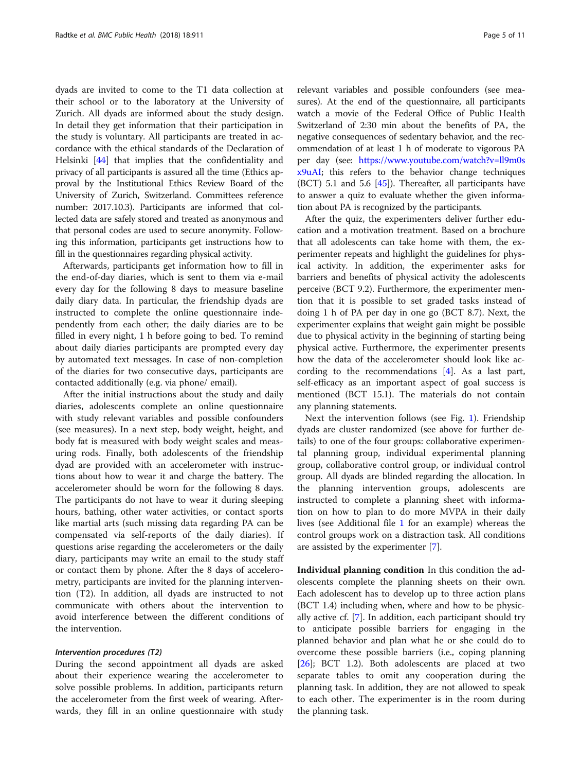dyads are invited to come to the T1 data collection at their school or to the laboratory at the University of Zurich. All dyads are informed about the study design. In detail they get information that their participation in the study is voluntary. All participants are treated in accordance with the ethical standards of the Declaration of Helsinki [[44\]](#page-10-0) that implies that the confidentiality and privacy of all participants is assured all the time (Ethics approval by the Institutional Ethics Review Board of the University of Zurich, Switzerland. Committees reference number: 2017.10.3). Participants are informed that collected data are safely stored and treated as anonymous and that personal codes are used to secure anonymity. Following this information, participants get instructions how to fill in the questionnaires regarding physical activity.

Afterwards, participants get information how to fill in the end-of-day diaries, which is sent to them via e-mail every day for the following 8 days to measure baseline daily diary data. In particular, the friendship dyads are instructed to complete the online questionnaire independently from each other; the daily diaries are to be filled in every night, 1 h before going to bed. To remind about daily diaries participants are prompted every day by automated text messages. In case of non-completion of the diaries for two consecutive days, participants are contacted additionally (e.g. via phone/ email).

After the initial instructions about the study and daily diaries, adolescents complete an online questionnaire with study relevant variables and possible confounders (see measures). In a next step, body weight, height, and body fat is measured with body weight scales and measuring rods. Finally, both adolescents of the friendship dyad are provided with an accelerometer with instructions about how to wear it and charge the battery. The accelerometer should be worn for the following 8 days. The participants do not have to wear it during sleeping hours, bathing, other water activities, or contact sports like martial arts (such missing data regarding PA can be compensated via self-reports of the daily diaries). If questions arise regarding the accelerometers or the daily diary, participants may write an email to the study staff or contact them by phone. After the 8 days of accelerometry, participants are invited for the planning intervention (T2). In addition, all dyads are instructed to not communicate with others about the intervention to avoid interference between the different conditions of the intervention.

#### Intervention procedures (T2)

During the second appointment all dyads are asked about their experience wearing the accelerometer to solve possible problems. In addition, participants return the accelerometer from the first week of wearing. Afterwards, they fill in an online questionnaire with study

relevant variables and possible confounders (see measures). At the end of the questionnaire, all participants watch a movie of the Federal Office of Public Health Switzerland of 2:30 min about the benefits of PA, the negative consequences of sedentary behavior, and the recommendation of at least 1 h of moderate to vigorous PA per day (see: [https://www.youtube.com/watch?v=ll9m0s](https://www.youtube.com/watch?v=ll9m0sx9uAI) [x9uAI;](https://www.youtube.com/watch?v=ll9m0sx9uAI) this refers to the behavior change techniques (BCT) 5.1 and 5.6  $[45]$ ). Thereafter, all participants have to answer a quiz to evaluate whether the given information about PA is recognized by the participants.

After the quiz, the experimenters deliver further education and a motivation treatment. Based on a brochure that all adolescents can take home with them, the experimenter repeats and highlight the guidelines for physical activity. In addition, the experimenter asks for barriers and benefits of physical activity the adolescents perceive (BCT 9.2). Furthermore, the experimenter mention that it is possible to set graded tasks instead of doing 1 h of PA per day in one go (BCT 8.7). Next, the experimenter explains that weight gain might be possible due to physical activity in the beginning of starting being physical active. Furthermore, the experimenter presents how the data of the accelerometer should look like according to the recommendations [\[4\]](#page-9-0). As a last part, self-efficacy as an important aspect of goal success is mentioned (BCT 15.1). The materials do not contain any planning statements.

Next the intervention follows (see Fig. [1\)](#page-3-0). Friendship dyads are cluster randomized (see above for further details) to one of the four groups: collaborative experimental planning group, individual experimental planning group, collaborative control group, or individual control group. All dyads are blinded regarding the allocation. In the planning intervention groups, adolescents are instructed to complete a planning sheet with information on how to plan to do more MVPA in their daily lives (see Additional file [1](#page-8-0) for an example) whereas the control groups work on a distraction task. All conditions are assisted by the experimenter [[7\]](#page-9-0).

Individual planning condition In this condition the adolescents complete the planning sheets on their own. Each adolescent has to develop up to three action plans (BCT 1.4) including when, where and how to be physically active cf. [\[7\]](#page-9-0). In addition, each participant should try to anticipate possible barriers for engaging in the planned behavior and plan what he or she could do to overcome these possible barriers (i.e., coping planning [[26\]](#page-9-0); BCT 1.2). Both adolescents are placed at two separate tables to omit any cooperation during the planning task. In addition, they are not allowed to speak to each other. The experimenter is in the room during the planning task.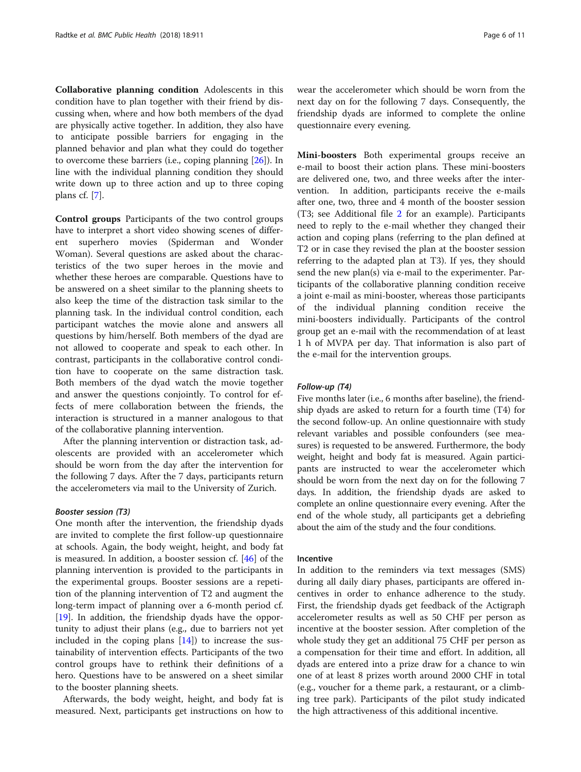Collaborative planning condition Adolescents in this condition have to plan together with their friend by discussing when, where and how both members of the dyad are physically active together. In addition, they also have to anticipate possible barriers for engaging in the planned behavior and plan what they could do together to overcome these barriers (i.e., coping planning [[26](#page-9-0)]). In line with the individual planning condition they should write down up to three action and up to three coping plans cf. [[7](#page-9-0)].

Control groups Participants of the two control groups have to interpret a short video showing scenes of different superhero movies (Spiderman and Wonder Woman). Several questions are asked about the characteristics of the two super heroes in the movie and whether these heroes are comparable. Questions have to be answered on a sheet similar to the planning sheets to also keep the time of the distraction task similar to the planning task. In the individual control condition, each participant watches the movie alone and answers all questions by him/herself. Both members of the dyad are not allowed to cooperate and speak to each other. In contrast, participants in the collaborative control condition have to cooperate on the same distraction task. Both members of the dyad watch the movie together and answer the questions conjointly. To control for effects of mere collaboration between the friends, the interaction is structured in a manner analogous to that of the collaborative planning intervention.

After the planning intervention or distraction task, adolescents are provided with an accelerometer which should be worn from the day after the intervention for the following 7 days. After the 7 days, participants return the accelerometers via mail to the University of Zurich.

## Booster session (T3)

One month after the intervention, the friendship dyads are invited to complete the first follow-up questionnaire at schools. Again, the body weight, height, and body fat is measured. In addition, a booster session cf. [\[46](#page-10-0)] of the planning intervention is provided to the participants in the experimental groups. Booster sessions are a repetition of the planning intervention of T2 and augment the long-term impact of planning over a 6-month period cf. [[19\]](#page-9-0). In addition, the friendship dyads have the opportunity to adjust their plans (e.g., due to barriers not yet included in the coping plans  $[14]$  $[14]$ ) to increase the sustainability of intervention effects. Participants of the two control groups have to rethink their definitions of a hero. Questions have to be answered on a sheet similar to the booster planning sheets.

Afterwards, the body weight, height, and body fat is measured. Next, participants get instructions on how to wear the accelerometer which should be worn from the next day on for the following 7 days. Consequently, the friendship dyads are informed to complete the online questionnaire every evening.

Mini-boosters Both experimental groups receive an e-mail to boost their action plans. These mini-boosters are delivered one, two, and three weeks after the intervention. In addition, participants receive the e-mails after one, two, three and 4 month of the booster session (T3; see Additional file [2](#page-8-0) for an example). Participants need to reply to the e-mail whether they changed their action and coping plans (referring to the plan defined at T2 or in case they revised the plan at the booster session referring to the adapted plan at T3). If yes, they should send the new plan(s) via e-mail to the experimenter. Participants of the collaborative planning condition receive a joint e-mail as mini-booster, whereas those participants of the individual planning condition receive the mini-boosters individually. Participants of the control group get an e-mail with the recommendation of at least 1 h of MVPA per day. That information is also part of the e-mail for the intervention groups.

## Follow-up (T4)

Five months later (i.e., 6 months after baseline), the friendship dyads are asked to return for a fourth time (T4) for the second follow-up. An online questionnaire with study relevant variables and possible confounders (see measures) is requested to be answered. Furthermore, the body weight, height and body fat is measured. Again participants are instructed to wear the accelerometer which should be worn from the next day on for the following 7 days. In addition, the friendship dyads are asked to complete an online questionnaire every evening. After the end of the whole study, all participants get a debriefing about the aim of the study and the four conditions.

### Incentive

In addition to the reminders via text messages (SMS) during all daily diary phases, participants are offered incentives in order to enhance adherence to the study. First, the friendship dyads get feedback of the Actigraph accelerometer results as well as 50 CHF per person as incentive at the booster session. After completion of the whole study they get an additional 75 CHF per person as a compensation for their time and effort. In addition, all dyads are entered into a prize draw for a chance to win one of at least 8 prizes worth around 2000 CHF in total (e.g., voucher for a theme park, a restaurant, or a climbing tree park). Participants of the pilot study indicated the high attractiveness of this additional incentive.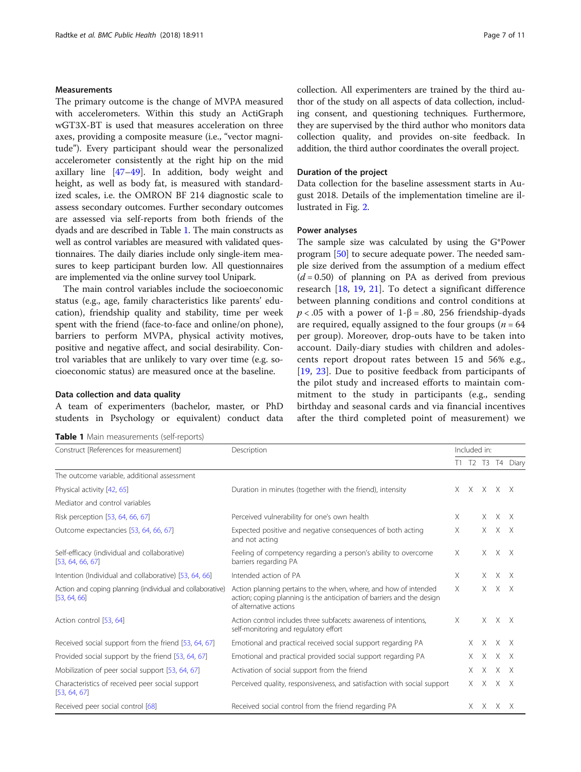## Measurements

The primary outcome is the change of MVPA measured with accelerometers. Within this study an ActiGraph wGT3X-BT is used that measures acceleration on three axes, providing a composite measure (i.e., "vector magnitude"). Every participant should wear the personalized accelerometer consistently at the right hip on the mid axillary line [\[47](#page-10-0)–[49\]](#page-10-0). In addition, body weight and height, as well as body fat, is measured with standardized scales, i.e. the OMRON BF 214 diagnostic scale to assess secondary outcomes. Further secondary outcomes are assessed via self-reports from both friends of the dyads and are described in Table 1. The main constructs as well as control variables are measured with validated questionnaires. The daily diaries include only single-item measures to keep participant burden low. All questionnaires are implemented via the online survey tool Unipark.

The main control variables include the socioeconomic status (e.g., age, family characteristics like parents' education), friendship quality and stability, time per week spent with the friend (face-to-face and online/on phone), barriers to perform MVPA, physical activity motives, positive and negative affect, and social desirability. Control variables that are unlikely to vary over time (e.g. socioeconomic status) are measured once at the baseline.

### Data collection and data quality

A team of experimenters (bachelor, master, or PhD students in Psychology or equivalent) conduct data

Table 1 Main measurements (self-reports)

collection. All experimenters are trained by the third author of the study on all aspects of data collection, including consent, and questioning techniques. Furthermore, they are supervised by the third author who monitors data collection quality, and provides on-site feedback. In addition, the third author coordinates the overall project.

### Duration of the project

Data collection for the baseline assessment starts in August 2018. Details of the implementation timeline are illustrated in Fig. [2.](#page-7-0)

#### Power analyses

The sample size was calculated by using the G\*Power program [\[50\]](#page-10-0) to secure adequate power. The needed sample size derived from the assumption of a medium effect  $(d = 0.50)$  of planning on PA as derived from previous research [[18,](#page-9-0) [19,](#page-9-0) [21\]](#page-9-0). To detect a significant difference between planning conditions and control conditions at  $p < .05$  with a power of 1- $\beta = .80, 256$  friendship-dyads are required, equally assigned to the four groups ( $n = 64$ ) per group). Moreover, drop-outs have to be taken into account. Daily-diary studies with children and adolescents report dropout rates between 15 and 56% e.g., [[19,](#page-9-0) [23](#page-9-0)]. Due to positive feedback from participants of the pilot study and increased efforts to maintain commitment to the study in participants (e.g., sending birthday and seasonal cards and via financial incentives after the third completed point of measurement) we

| Construct [References for measurement]                                    | Description                                                                                                                                                          | Included in: |    |                     |             |                   |
|---------------------------------------------------------------------------|----------------------------------------------------------------------------------------------------------------------------------------------------------------------|--------------|----|---------------------|-------------|-------------------|
|                                                                           |                                                                                                                                                                      |              |    |                     |             | T1 T2 T3 T4 Diary |
| The outcome variable, additional assessment                               |                                                                                                                                                                      |              |    |                     |             |                   |
| Physical activity [42, 65]                                                | Duration in minutes (together with the friend), intensity                                                                                                            |              |    | $X$ $X$ $X$ $X$ $X$ |             |                   |
| Mediator and control variables                                            |                                                                                                                                                                      |              |    |                     |             |                   |
| Risk perception [53, 64, 66, 67]                                          | Perceived vulnerability for one's own health                                                                                                                         | X            |    | X.                  | X X         |                   |
| Outcome expectancies [53, 64, 66, 67]                                     | Expected positive and negative consequences of both acting<br>and not acting                                                                                         | X            |    |                     | $X$ $X$ $X$ |                   |
| Self-efficacy (individual and collaborative)<br>[53, 64, 66, 67]          | Feeling of competency regarding a person's ability to overcome<br>barriers regarding PA                                                                              | X            |    |                     | $X$ $X$ $X$ |                   |
| Intention (Individual and collaborative) [53, 64, 66]                     | Intended action of PA                                                                                                                                                | $\times$     |    | X.                  | $X$ $X$     |                   |
| Action and coping planning (individual and collaborative)<br>[53, 64, 66] | Action planning pertains to the when, where, and how of intended<br>action; coping planning is the anticipation of barriers and the design<br>of alternative actions | $\times$     |    |                     | $X$ $X$ $X$ |                   |
| Action control [53, 64]                                                   | Action control includes three subfacets: awareness of intentions.<br>self-monitoring and regulatory effort                                                           | $\times$     |    |                     | $X$ $X$ $X$ |                   |
| Received social support from the friend [53, 64, 67]                      | Emotional and practical received social support regarding PA                                                                                                         |              | X. | X                   | $X$ X       |                   |
| Provided social support by the friend [53, 64, 67]                        | Emotional and practical provided social support regarding PA                                                                                                         |              | X. |                     | $X$ $X$ $X$ |                   |
| Mobilization of peer social support [53, 64, 67]                          | Activation of social support from the friend                                                                                                                         |              | X. | $X$ $X$ $X$         |             |                   |
| Characteristics of received peer social support<br>[53, 64, 67]           | Perceived quality, responsiveness, and satisfaction with social support                                                                                              |              |    | $X$ $X$ $X$ $X$     |             |                   |
| Received peer social control [68]                                         | Received social control from the friend regarding PA                                                                                                                 |              |    | X X X X             |             |                   |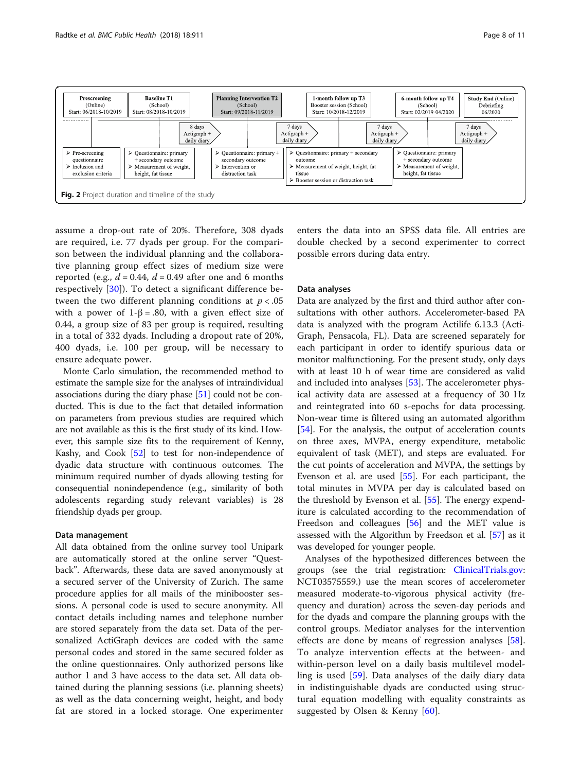<span id="page-7-0"></span>

assume a drop-out rate of 20%. Therefore, 308 dyads are required, i.e. 77 dyads per group. For the comparison between the individual planning and the collaborative planning group effect sizes of medium size were reported (e.g.,  $d = 0.44$ ,  $d = 0.49$  after one and 6 months respectively [[30](#page-10-0)]). To detect a significant difference between the two different planning conditions at  $p < .05$ with a power of  $1-\beta = .80$ , with a given effect size of 0.44, a group size of 83 per group is required, resulting in a total of 332 dyads. Including a dropout rate of 20%, 400 dyads, i.e. 100 per group, will be necessary to ensure adequate power.

Monte Carlo simulation, the recommended method to estimate the sample size for the analyses of intraindividual associations during the diary phase [\[51\]](#page-10-0) could not be conducted. This is due to the fact that detailed information on parameters from previous studies are required which are not available as this is the first study of its kind. However, this sample size fits to the requirement of Kenny, Kashy, and Cook [\[52\]](#page-10-0) to test for non-independence of dyadic data structure with continuous outcomes. The minimum required number of dyads allowing testing for consequential nonindependence (e.g., similarity of both adolescents regarding study relevant variables) is 28 friendship dyads per group.

#### Data management

All data obtained from the online survey tool Unipark are automatically stored at the online server "Questback". Afterwards, these data are saved anonymously at a secured server of the University of Zurich. The same procedure applies for all mails of the minibooster sessions. A personal code is used to secure anonymity. All contact details including names and telephone number are stored separately from the data set. Data of the personalized ActiGraph devices are coded with the same personal codes and stored in the same secured folder as the online questionnaires. Only authorized persons like author 1 and 3 have access to the data set. All data obtained during the planning sessions (i.e. planning sheets) as well as the data concerning weight, height, and body fat are stored in a locked storage. One experimenter enters the data into an SPSS data file. All entries are double checked by a second experimenter to correct possible errors during data entry.

## Data analyses

Data are analyzed by the first and third author after consultations with other authors. Accelerometer-based PA data is analyzed with the program Actilife 6.13.3 (Acti-Graph, Pensacola, FL). Data are screened separately for each participant in order to identify spurious data or monitor malfunctioning. For the present study, only days with at least 10 h of wear time are considered as valid and included into analyses [[53\]](#page-10-0). The accelerometer physical activity data are assessed at a frequency of 30 Hz and reintegrated into 60 s-epochs for data processing. Non-wear time is filtered using an automated algorithm [[54\]](#page-10-0). For the analysis, the output of acceleration counts on three axes, MVPA, energy expenditure, metabolic equivalent of task (MET), and steps are evaluated. For the cut points of acceleration and MVPA, the settings by Evenson et al. are used [\[55\]](#page-10-0). For each participant, the total minutes in MVPA per day is calculated based on the threshold by Evenson et al. [[55\]](#page-10-0). The energy expenditure is calculated according to the recommendation of Freedson and colleagues [[56\]](#page-10-0) and the MET value is assessed with the Algorithm by Freedson et al. [[57\]](#page-10-0) as it was developed for younger people.

Analyses of the hypothesized differences between the groups (see the trial registration: [ClinicalTrials.gov](http://clinicaltrials.gov): NCT03575559.) use the mean scores of accelerometer measured moderate-to-vigorous physical activity (frequency and duration) across the seven-day periods and for the dyads and compare the planning groups with the control groups. Mediator analyses for the intervention effects are done by means of regression analyses [\[58](#page-10-0)]. To analyze intervention effects at the between- and within-person level on a daily basis multilevel modelling is used [[59\]](#page-10-0). Data analyses of the daily diary data in indistinguishable dyads are conducted using structural equation modelling with equality constraints as suggested by Olsen & Kenny [[60\]](#page-10-0).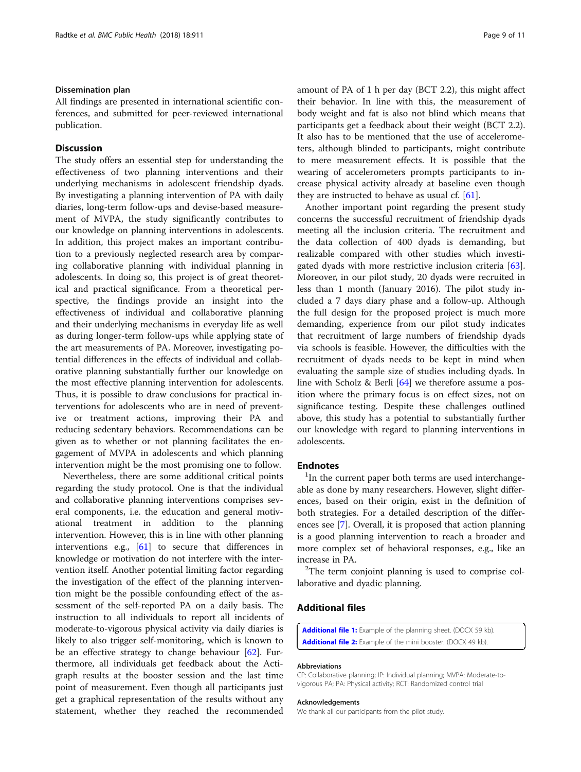#### <span id="page-8-0"></span>Dissemination plan

All findings are presented in international scientific conferences, and submitted for peer-reviewed international publication.

## **Discussion**

The study offers an essential step for understanding the effectiveness of two planning interventions and their underlying mechanisms in adolescent friendship dyads. By investigating a planning intervention of PA with daily diaries, long-term follow-ups and devise-based measurement of MVPA, the study significantly contributes to our knowledge on planning interventions in adolescents. In addition, this project makes an important contribution to a previously neglected research area by comparing collaborative planning with individual planning in adolescents. In doing so, this project is of great theoretical and practical significance. From a theoretical perspective, the findings provide an insight into the effectiveness of individual and collaborative planning and their underlying mechanisms in everyday life as well as during longer-term follow-ups while applying state of the art measurements of PA. Moreover, investigating potential differences in the effects of individual and collaborative planning substantially further our knowledge on the most effective planning intervention for adolescents. Thus, it is possible to draw conclusions for practical interventions for adolescents who are in need of preventive or treatment actions, improving their PA and reducing sedentary behaviors. Recommendations can be given as to whether or not planning facilitates the engagement of MVPA in adolescents and which planning intervention might be the most promising one to follow.

Nevertheless, there are some additional critical points regarding the study protocol. One is that the individual and collaborative planning interventions comprises several components, i.e. the education and general motivational treatment in addition to the planning intervention. However, this is in line with other planning interventions e.g., [\[61](#page-10-0)] to secure that differences in knowledge or motivation do not interfere with the intervention itself. Another potential limiting factor regarding the investigation of the effect of the planning intervention might be the possible confounding effect of the assessment of the self-reported PA on a daily basis. The instruction to all individuals to report all incidents of moderate-to-vigorous physical activity via daily diaries is likely to also trigger self-monitoring, which is known to be an effective strategy to change behaviour [\[62](#page-10-0)]. Furthermore, all individuals get feedback about the Actigraph results at the booster session and the last time point of measurement. Even though all participants just get a graphical representation of the results without any statement, whether they reached the recommended amount of PA of 1 h per day (BCT 2.2), this might affect their behavior. In line with this, the measurement of body weight and fat is also not blind which means that participants get a feedback about their weight (BCT 2.2). It also has to be mentioned that the use of accelerometers, although blinded to participants, might contribute to mere measurement effects. It is possible that the wearing of accelerometers prompts participants to increase physical activity already at baseline even though they are instructed to behave as usual cf. [[61](#page-10-0)].

Another important point regarding the present study concerns the successful recruitment of friendship dyads meeting all the inclusion criteria. The recruitment and the data collection of 400 dyads is demanding, but realizable compared with other studies which investi-gated dyads with more restrictive inclusion criteria [\[63](#page-10-0)]. Moreover, in our pilot study, 20 dyads were recruited in less than 1 month (January 2016). The pilot study included a 7 days diary phase and a follow-up. Although the full design for the proposed project is much more demanding, experience from our pilot study indicates that recruitment of large numbers of friendship dyads via schools is feasible. However, the difficulties with the recruitment of dyads needs to be kept in mind when evaluating the sample size of studies including dyads. In line with Scholz & Berli [\[64](#page-10-0)] we therefore assume a position where the primary focus is on effect sizes, not on significance testing. Despite these challenges outlined above, this study has a potential to substantially further our knowledge with regard to planning interventions in adolescents.

## **Endnotes**

<sup>1</sup>In the current paper both terms are used interchangeable as done by many researchers. However, slight differences, based on their origin, exist in the definition of both strategies. For a detailed description of the differences see [[7\]](#page-9-0). Overall, it is proposed that action planning is a good planning intervention to reach a broader and more complex set of behavioral responses, e.g., like an increase in PA. <sup>2</sup>

 $2$ The term conjoint planning is used to comprise collaborative and dyadic planning.

## Additional files

[Additional file 1:](https://doi.org/10.1186/s12889-018-5818-6) Example of the planning sheet. (DOCX 59 kb). [Additional file 2:](https://doi.org/10.1186/s12889-018-5818-6) Example of the mini booster. (DOCX 49 kb).

#### Abbreviations

CP: Collaborative planning; IP: Individual planning; MVPA: Moderate-tovigorous PA; PA: Physical activity; RCT: Randomized control trial

#### Acknowledgements

We thank all our participants from the pilot study.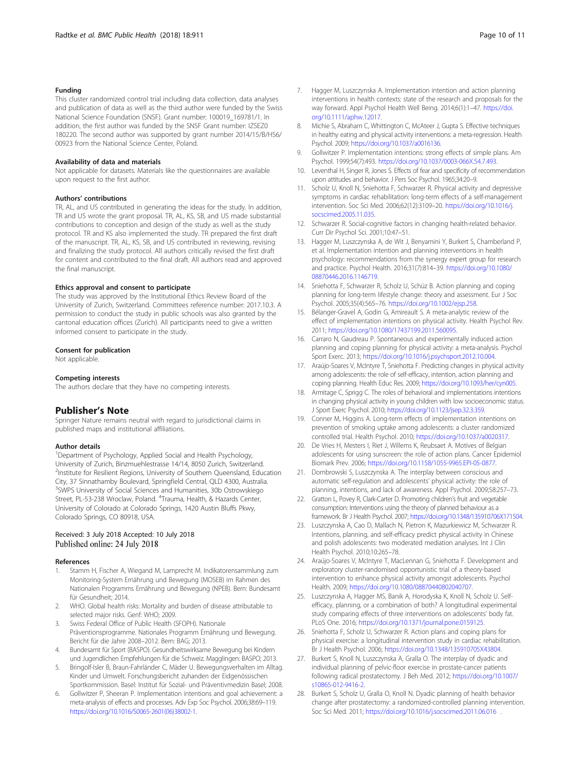#### <span id="page-9-0"></span>Funding

This cluster randomized control trial including data collection, data analyses and publication of data as well as the third author were funded by the Swiss National Science Foundation (SNSF). Grant number: 100019\_169781/1. In addition, the first author was funded by the SNSF Grant number: IZSEZ0 180220. The second author was supported by grant number 2014/15/B/HS6/ 00923 from the National Science Center, Poland.

#### Availability of data and materials

Not applicable for datasets. Materials like the questionnaires are available upon request to the first author.

#### Authors' contributions

TR, AL, and US contributed in generating the ideas for the study. In addition, TR and US wrote the grant proposal. TR, AL, KS, SB, and US made substantial contributions to conception and design of the study as well as the study protocol. TR and KS also implemented the study. TR prepared the first draft of the manuscript. TR, AL, KS, SB, and US contributed in reviewing, revising and finalizing the study protocol. All authors critically revised the first draft for content and contributed to the final draft. All authors read and approved the final manuscript.

#### Ethics approval and consent to participate

The study was approved by the Institutional Ethics Review Board of the University of Zurich, Switzerland. Committees reference number: 2017.10.3. A permission to conduct the study in public schools was also granted by the cantonal education offices (Zurich). All participants need to give a written informed consent to participate in the study.

#### Consent for publication

Not applicable.

#### Competing interests

The authors declare that they have no competing interests.

#### Publisher's Note

Springer Nature remains neutral with regard to jurisdictional claims in published maps and institutional affiliations.

#### Author details

<sup>1</sup>Department of Psychology, Applied Social and Health Psychology, University of Zurich, Binzmuehlestrasse 14/14, 8050 Zurich, Switzerland. <sup>2</sup>Institute for Resilient Regions, University of Southern Queensland, Education City, 37 Sinnathamby Boulevard, Springfield Central, QLD 4300, Australia. <sup>3</sup>SWPS University of Social Sciences and Humanities, 30b Ostrowskiego Street, PL-53-238 Wroclaw, Poland. <sup>4</sup>Trauma, Health, & Hazards Center, University of Colorado at Colorado Springs, 1420 Austin Bluffs Pkwy, Colorado Springs, CO 80918, USA.

#### Received: 3 July 2018 Accepted: 10 July 2018 Published online: 24 July 2018

#### References

- Stamm H, Fischer A, Wiegand M, Lamprecht M. Indikatorensammlung zum Monitoring-System Ernährung und Bewegung (MOSEB) im Rahmen des Nationalen Programms Ernährung und Bewegung (NPEB). Bern: Bundesamt für Gesundheit; 2014.
- 2. WHO. Global health risks: Mortality and burden of disease attributable to selected major risks. Genf: WHO; 2009.
- 3. Swiss Federal Office of Public Health (SFOPH). Nationale Präventionsprogramme. Nationales Programm Ernährung und Bewegung. Bericht für die Jahre 2008–2012. Bern: BAG; 2013.
- 4. Bundesamt für Sport (BASPO). Gesundheitswirksame Bewegung bei Kindern und Jugendlichen Empfehlungen für die Schweiz. Magglingen: BASPO; 2013.
- 5. Bringolf-Isler B, Braun-Fahrländer C, Mäder U. Bewegungsverhalten im Alltag. Kinder und Umwelt. Forschungsbericht zuhanden der Eidgenössischen Sportkommission. Basel: Institut für Sozial- und Präventivmedizin Basel; 2008.
- 6. Gollwitzer P, Sheeran P. Implementation intentions and goal achievement: a meta-analysis of effects and processes. Adv Exp Soc Psychol. 2006;38:69–119. [https://doi.org/10.1016/S0065-2601\(06\)38002-1.](https://doi.org/10.1016/S0065-2601(06)38002-1)
- 7. Hagger M, Luszczynska A. Implementation intention and action planning interventions in health contexts: state of the research and proposals for the way forward. Appl Psychol Health Well Being. 2014;6(1):1–47. [https://doi.](https://doi.org/10.1111/aphw.12017) [org/10.1111/aphw.12017](https://doi.org/10.1111/aphw.12017).
- 8. Michie S, Abraham C, Whittington C, McAteer J, Gupta S. Effective techniques in healthy eating and physical activity interventions: a meta-regression. Health Psychol. 2009; <https://doi.org/10.1037/a0016136>.
- 9. Gollwitzer P. Implementation intentions: strong effects of simple plans. Am Psychol. 1999;54(7):493. <https://doi.org/10.1037/0003-066X.54.7.493>.
- 10. Leventhal H, Singer R, Jones S. Effects of fear and specificity of recommendation upon attitudes and behavior. J Pers Soc Psychol. 1965;34:20–9.
- 11. Scholz U, Knoll N, Sniehotta F, Schwarzer R. Physical activity and depressive symptoms in cardiac rehabilitation: long-term effects of a self-management intervention. Soc Sci Med. 2006;62(12):3109–20. [https://doi.org/10.1016/j.](https://doi.org/10.1016/j.socscimed.2005.11.035) [socscimed.2005.11.035.](https://doi.org/10.1016/j.socscimed.2005.11.035)
- 12. Schwarzer R. Social-cognitive factors in changing health-related behavior. Curr Dir Psychol Sci. 2001;10:47–51.
- 13. Hagger M, Luszczynska A, de Wit J, Benyamini Y, Burkert S, Chamberland P, et al. Implementation intention and planning interventions in health psychology: recommendations from the synergy expert group for research and practice. Psychol Health. 2016;31(7):814–39. [https://doi.org/10.1080/](https://doi.org/10.1080/08870446.2016.1146719) [08870446.2016.1146719.](https://doi.org/10.1080/08870446.2016.1146719)
- 14. Sniehotta F, Schwarzer R, Scholz U, Schüz B. Action planning and coping planning for long-term lifestyle change: theory and assessment. Eur J Soc Psychol. 2005;35(4):565–76. <https://doi.org/10.1002/ejsp.258>.
- 15. Bélanger-Gravel A, Godin G, Amireault S. A meta-analytic review of the effect of implementation intentions on physical activity. Health Psychol Rev. 2011; [https://doi.org/10.1080/17437199.2011.560095.](https://doi.org/10.1080/17437199.2011.560095)
- 16. Carraro N, Gaudreau P. Spontaneous and experimentally induced action planning and coping planning for physical activity: a meta-analysis. Psychol Sport Exerc. 2013; <https://doi.org/10.1016/j.psychsport.2012.10.004>.
- 17. Araújo-Soares V, McIntyre T, Sniehotta F. Predicting changes in physical activity among adolescents: the role of self-efficacy, intention, action planning and coping planning. Health Educ Res. 2009; [https://doi.org/10.1093/her/cyn005.](https://doi.org/10.1093/her/cyn005)
- 18. Armitage C, Sprigg C. The roles of behavioral and implementations intentions in changing physical activity in young children with low socioeconomic status. J Sport Exerc Psychol. 2010; <https://doi.org/10.1123/jsep.32.3.359>.
- 19. Conner M, Higgins A. Long-term effects of implementation intentions on prevention of smoking uptake among adolescents: a cluster randomized controlled trial. Health Psychol. 2010; <https://doi.org/10.1037/a0020317>.
- 20. De Vries H, Mesters I, Riet J, Willems K, Reubsaet A. Motives of Belgian adolescents for using sunscreen: the role of action plans. Cancer Epidemiol Biomark Prev. 2006; [https://doi.org/10.1158/1055-9965.EPI-05-0877.](https://doi.org/10.1158/1055-9965.EPI-05-0877)
- 21. Dombrowski S, Luszczynska A. The interplay between conscious and automatic self-regulation and adolescents' physical activity: the role of planning, intentions, and lack of awareness. Appl Psychol. 2009;58:257–73.
- 22. Gratton L, Povey R, Clark-Carter D. Promoting children's fruit and vegetable consumption: Interventions using the theory of planned behaviour as a framework. Br J Health Psychol. 2007; <https://doi.org/10.1348/135910706X171504>.
- 23. Luszczynska A, Cao D, Mallach N, Pietron K, Mazurkiewicz M, Schwarzer R. Intentions, planning, and self-efficacy predict physical activity in Chinese and polish adolescents: two moderated mediation analyses. Int J Clin Health Psychol. 2010;10:265–78.
- 24. Araújo-Soares V, McIntyre T, MacLennan G, Sniehotta F. Development and exploratory cluster-randomised opportunistic trial of a theory-based intervention to enhance physical activity amongst adolescents. Psychol Health. 2009; [https://doi.org/10.1080/08870440802040707.](https://doi.org/10.1080/08870440802040707)
- 25. Luszczynska A, Hagger MS, Banik A, Horodyska K, Knoll N, Scholz U. Selfefficacy, planning, or a combination of both? A longitudinal experimental study comparing effects of three interventions on adolescents' body fat. PLoS One. 2016; [https://doi.org/10.1371/journal.pone.0159125.](https://doi.org/10.1371/journal.pone.0159125)
- 26. Sniehotta F, Scholz U, Schwarzer R. Action plans and coping plans for physical exercise: a longitudinal intervention study in cardiac rehabilitation. Br J Health Psychol. 2006; <https://doi.org/10.1348/135910705X43804>.
- 27. Burkert S, Knoll N, Luszczynska A, Gralla O. The interplay of dyadic and individual planning of pelvic-floor exercise in prostate-cancer patients following radical prostatectomy. J Beh Med. 2012; [https://doi.org/10.1007/](https://doi.org/10.1007/s10865-012-9416-2) [s10865-012-9416-2.](https://doi.org/10.1007/s10865-012-9416-2)
- 28. Burkert S, Scholz U, Gralla O, Knoll N. Dyadic planning of health behavior change after prostatectomy: a randomized-controlled planning intervention. Soc Sci Med. 2011; <https://doi.org/10.1016/j.socscimed.2011.06.016> .